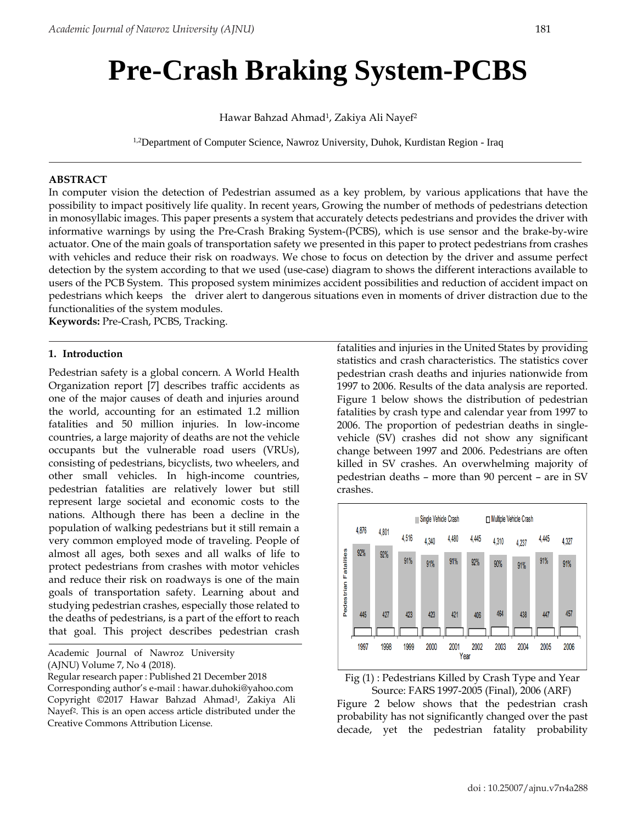# **Pre-Crash Braking System-PCBS**

Hawar Bahzad Ahmad<sup>1</sup>, Zakiya Ali Nayef<sup>2</sup>

<sup>1,2</sup>Department of Computer Science, Nawroz University, Duhok, Kurdistan Region - Iraq

#### **ABSTRACT**

In computer vision the detection of Pedestrian assumed as a key problem, by various applications that have the possibility to impact positively life quality. In recent years, Growing the number of methods of pedestrians detection in monosyllabic images. This paper presents a system that accurately detects pedestrians and provides the driver with informative warnings by using the Pre-Crash Braking System-(PCBS), which is use sensor and the brake-by-wire actuator. One of the main goals of transportation safety we presented in this paper to protect pedestrians from crashes with vehicles and reduce their risk on roadways. We chose to focus on detection by the driver and assume perfect detection by the system according to that we used (use-case) diagram to shows the different interactions available to users of the PCB System. This proposed system minimizes accident possibilities and reduction of accident impact on pedestrians which keeps the driver alert to dangerous situations even in moments of driver distraction due to the functionalities of the system modules.

**Keywords:** Pre-Crash, PCBS, Tracking.

#### **1. Introduction**

Pedestrian safety is a global concern. A World Health Organization report [7] describes traffic accidents as one of the major causes of death and injuries around the world, accounting for an estimated 1.2 million fatalities and 50 million injuries. In low-income countries, a large majority of deaths are not the vehicle occupants but the vulnerable road users (VRUs), consisting of pedestrians, bicyclists, two wheelers, and other small vehicles. In high-income countries, pedestrian fatalities are relatively lower but still represent large societal and economic costs to the nations. Although there has been a decline in the population of walking pedestrians but it still remain a very common employed mode of traveling. People of almost all ages, both sexes and all walks of life to protect pedestrians from crashes with motor vehicles and reduce their risk on roadways is one of the main goals of transportation safety. Learning about and studying pedestrian crashes, especially those related to the deaths of pedestrians, is a part of the effort to reach that goal. This project describes pedestrian crash

Academic Journal of Nawroz University (AJNU) Volume 7, No 4 (2018).

Regular research paper : Published 21 December 2018 Corresponding author's e-mail [: hawar.duhoki@yahoo.com](mailto:hawar.duhoki@yahoo.com) Copyright ©2017 Hawar Bahzad Ahmad1, Zakiya Ali Nayef2. This is an open access article distributed under the Creative Commons Attribution License.

fatalities and injuries in the United States by providing statistics and crash characteristics. The statistics cover pedestrian crash deaths and injuries nationwide from 1997 to 2006. Results of the data analysis are reported. Figure 1 below shows the distribution of pedestrian fatalities by crash type and calendar year from 1997 to 2006. The proportion of pedestrian deaths in singlevehicle (SV) crashes did not show any significant change between 1997 and 2006. Pedestrians are often killed in SV crashes. An overwhelming majority of pedestrian deaths – more than 90 percent – are in SV crashes.





Figure 2 below shows that the pedestrian crash probability has not significantly changed over the past decade, yet the pedestrian fatality probability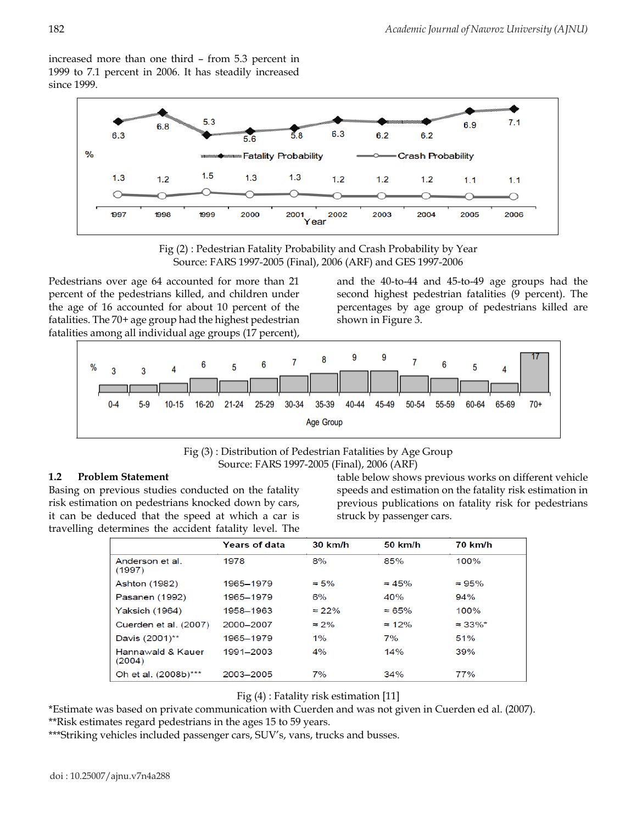increased more than one third – from 5.3 percent in 1999 to 7.1 percent in 2006. It has steadily increased since 1999.



Fig (2) : Pedestrian Fatality Probability and Crash Probability by Year Source: FARS 1997-2005 (Final), 2006 (ARF) and GES 1997-2006

Pedestrians over age 64 accounted for more than 21 percent of the pedestrians killed, and children under the age of 16 accounted for about 10 percent of the fatalities. The 70+ age group had the highest pedestrian fatalities among all individual age groups (17 percent),

and the 40-to-44 and 45-to-49 age groups had the second highest pedestrian fatalities (9 percent). The percentages by age group of pedestrians killed are shown in Figure 3.



## Fig (3) : Distribution of Pedestrian Fatalities by Age Group Source: FARS 1997-2005 (Final), 2006 (ARF)

## **1.2 Problem Statement**

Basing on previous studies conducted on the fatality risk estimation on pedestrians knocked down by cars, it can be deduced that the speed at which a car is travelling determines the accident fatality level. The

table below shows previous works on different vehicle speeds and estimation on the fatality risk estimation in previous publications on fatality risk for pedestrians struck by passenger cars.

|                             | <b>Years of data</b> | 30 km/h       | 50 km/h        | <b>70 km/h</b>   |
|-----------------------------|----------------------|---------------|----------------|------------------|
| Anderson et al.<br>(1997)   | 1978                 | 8%            | 85%            | 100%             |
| <b>Ashton (1982)</b>        | 1965-1979            | $\approx$ 5%  | $\approx 45\%$ | $\approx 95\%$   |
| Pasanen (1992)              | 1965–1979            | 6%            | 40%            | 94%              |
| <b>Yaksich (1964)</b>       | 1958-1963            | $\approx$ 22% | $\approx 65\%$ | 100%             |
| Cuerden et al. (2007)       | 2000-2007            | $\approx$ 2%  | $\approx 12\%$ | $\approx 33\%$ * |
| Davis (2001)**              | 1965-1979            | $1\%$         | 7%             | 51%              |
| Hannawald & Kauer<br>(2004) | 1991-2003            | 4%            | 14%            | 39%              |
| Oh et al. (2008b)***        | 2003-2005            | 7%            | 34%            | 77%              |

Fig (4) : Fatality risk estimation [11]

\*Estimate was based on private communication with Cuerden and was not given in Cuerden ed al. (2007). \*\*Risk estimates regard pedestrians in the ages 15 to 59 years.

\*\*\*Striking vehicles included passenger cars, SUV's, vans, trucks and busses.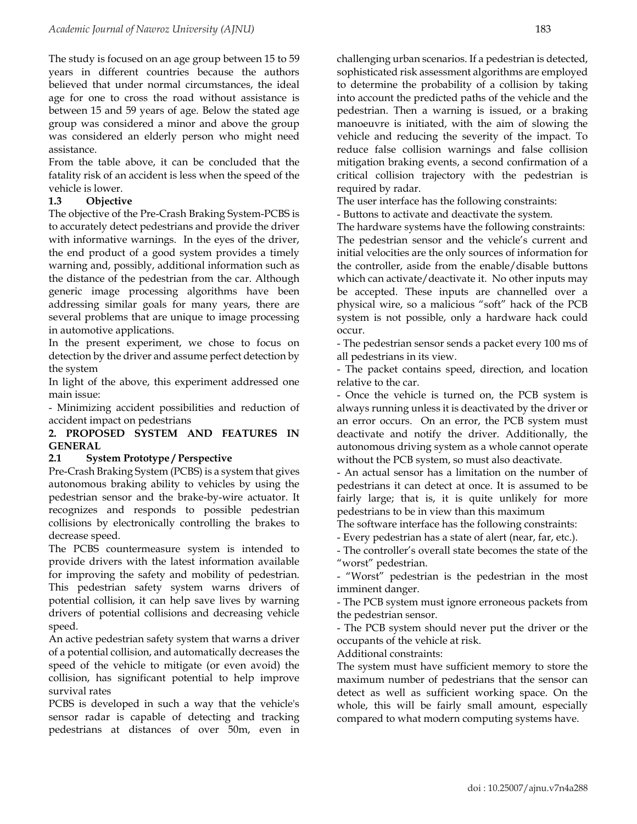The study is focused on an age group between 15 to 59 years in different countries because the authors believed that under normal circumstances, the ideal age for one to cross the road without assistance is between 15 and 59 years of age. Below the stated age group was considered a minor and above the group was considered an elderly person who might need assistance.

From the table above, it can be concluded that the fatality risk of an accident is less when the speed of the vehicle is lower.

#### **1.3 Objective**

The objective of the Pre-Crash Braking System-PCBS is to accurately detect pedestrians and provide the driver with informative warnings. In the eyes of the driver, the end product of a good system provides a timely warning and, possibly, additional information such as the distance of the pedestrian from the car. Although generic image processing algorithms have been addressing similar goals for many years, there are several problems that are unique to image processing in automotive applications.

In the present experiment, we chose to focus on detection by the driver and assume perfect detection by the system

In light of the above, this experiment addressed one main issue:

- Minimizing accident possibilities and reduction of accident impact on pedestrians

#### **2. PROPOSED SYSTEM AND FEATURES IN GENERAL**

#### **2.1 System Prototype / Perspective**

Pre-Crash Braking System (PCBS) is a system that gives autonomous braking ability to vehicles by using the pedestrian sensor and the brake-by-wire actuator. It recognizes and responds to possible pedestrian collisions by electronically controlling the brakes to decrease speed.

The PCBS countermeasure system is intended to provide drivers with the latest information available for improving the safety and mobility of pedestrian. This pedestrian safety system warns drivers of potential collision, it can help save lives by warning drivers of potential collisions and decreasing vehicle speed.

An active pedestrian safety system that warns a driver of a potential collision, and automatically decreases the speed of the vehicle to mitigate (or even avoid) the collision, has significant potential to help improve survival rates

PCBS is developed in such a way that the vehicle's sensor radar is capable of detecting and tracking pedestrians at distances of over 50m, even in challenging urban scenarios. If a pedestrian is detected, sophisticated risk assessment algorithms are employed to determine the probability of a collision by taking into account the predicted paths of the vehicle and the pedestrian. Then a warning is issued, or a braking manoeuvre is initiated, with the aim of slowing the vehicle and reducing the severity of the impact. To reduce false collision warnings and false collision mitigation braking events, a second confirmation of a critical collision trajectory with the pedestrian is required by radar.

The user interface has the following constraints:

- Buttons to activate and deactivate the system.

The hardware systems have the following constraints: The pedestrian sensor and the vehicle's current and initial velocities are the only sources of information for the controller, aside from the enable/disable buttons which can activate/deactivate it. No other inputs may be accepted. These inputs are channelled over a physical wire, so a malicious "soft" hack of the PCB system is not possible, only a hardware hack could occur.

- The pedestrian sensor sends a packet every 100 ms of all pedestrians in its view.

- The packet contains speed, direction, and location relative to the car.

- Once the vehicle is turned on, the PCB system is always running unless it is deactivated by the driver or an error occurs. On an error, the PCB system must deactivate and notify the driver. Additionally, the autonomous driving system as a whole cannot operate without the PCB system, so must also deactivate.

- An actual sensor has a limitation on the number of pedestrians it can detect at once. It is assumed to be fairly large; that is, it is quite unlikely for more pedestrians to be in view than this maximum

The software interface has the following constraints:

- Every pedestrian has a state of alert (near, far, etc.).

- The controller's overall state becomes the state of the "worst" pedestrian.

- "Worst" pedestrian is the pedestrian in the most imminent danger.

- The PCB system must ignore erroneous packets from the pedestrian sensor.

- The PCB system should never put the driver or the occupants of the vehicle at risk.

Additional constraints:

The system must have sufficient memory to store the maximum number of pedestrians that the sensor can detect as well as sufficient working space. On the whole, this will be fairly small amount, especially compared to what modern computing systems have.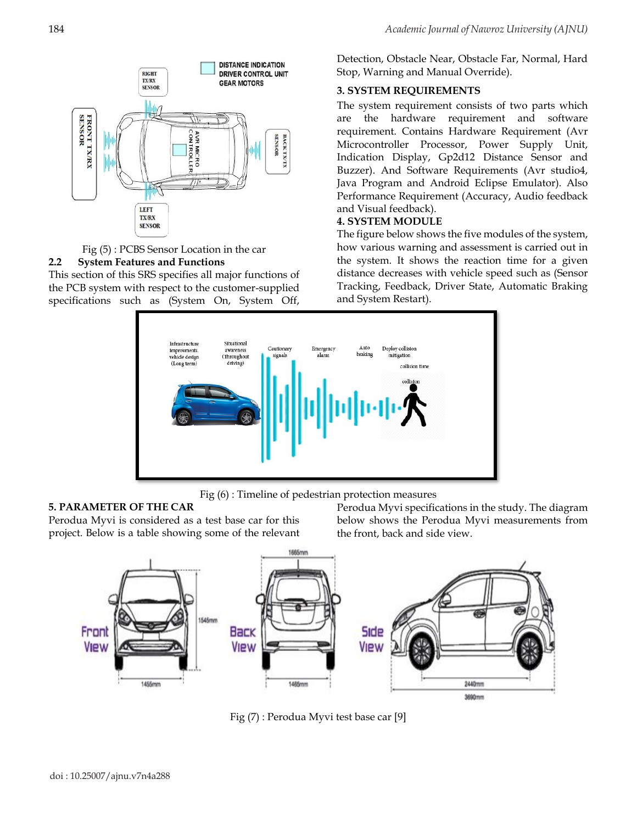



## **2.2 System Features and Functions**

This section of this SRS specifies all major functions of the PCB system with respect to the customer-supplied specifications such as (System On, System Off,

Detection, Obstacle Near, Obstacle Far, Normal, Hard Stop, Warning and Manual Override).

## **3. SYSTEM REQUIREMENTS**

The system requirement consists of two parts which are the hardware requirement and software requirement. Contains Hardware Requirement (Avr Microcontroller Processor, Power Supply Unit, Indication Display, Gp2d12 Distance Sensor and Buzzer). And Software Requirements (Avr studio4, Java Program and Android Eclipse Emulator). Also Performance Requirement (Accuracy, Audio feedback and Visual feedback).

## **4. SYSTEM MODULE**

The figure below shows the five modules of the system, how various warning and assessment is carried out in the system. It shows the reaction time for a given distance decreases with vehicle speed such as (Sensor Tracking, Feedback, Driver State, Automatic Braking and System Restart).



Fig (6) : Timeline of pedestrian protection measures

#### **5. PARAMETER OF THE CAR**

Perodua Myvi is considered as a test base car for this project. Below is a table showing some of the relevant Perodua Myvi specifications in the study. The diagram below shows the Perodua Myvi measurements from the front, back and side view.



Fig (7) : Perodua Myvi test base car [9]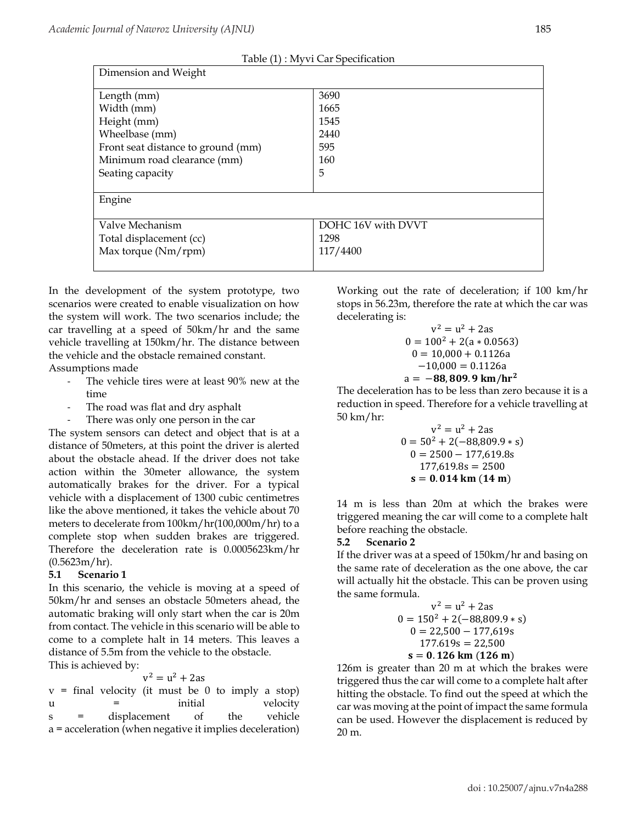|  | Table (1) : Myvi Car Specification |
|--|------------------------------------|
|--|------------------------------------|

| Dimension and Weight               |                    |  |
|------------------------------------|--------------------|--|
| Length (mm)                        | 3690               |  |
| Width (mm)                         | 1665               |  |
| Height (mm)                        | 1545               |  |
| Wheelbase (mm)                     | 2440               |  |
| Front seat distance to ground (mm) | 595                |  |
| Minimum road clearance (mm)        | 160                |  |
| Seating capacity                   | 5                  |  |
|                                    |                    |  |
| Engine                             |                    |  |
|                                    |                    |  |
| Valve Mechanism                    | DOHC 16V with DVVT |  |
| Total displacement (cc)            | 1298               |  |
| Max torque $(Nm/rpm)$              | 117/4400           |  |
|                                    |                    |  |

In the development of the system prototype, two scenarios were created to enable visualization on how the system will work. The two scenarios include; the car travelling at a speed of 50km/hr and the same vehicle travelling at 150km/hr. The distance between the vehicle and the obstacle remained constant.

Assumptions made

- The vehicle tires were at least 90% new at the time
- The road was flat and dry asphalt
- There was only one person in the car

The system sensors can detect and object that is at a distance of 50meters, at this point the driver is alerted about the obstacle ahead. If the driver does not take action within the 30meter allowance, the system automatically brakes for the driver. For a typical vehicle with a displacement of 1300 cubic centimetres like the above mentioned, it takes the vehicle about 70 meters to decelerate from 100km/hr(100,000m/hr) to a complete stop when sudden brakes are triggered. Therefore the deceleration rate is 0.0005623km/hr  $(0.5623m/hr)$ .

## **5.1 Scenario 1**

In this scenario, the vehicle is moving at a speed of 50km/hr and senses an obstacle 50meters ahead, the automatic braking will only start when the car is 20m from contact. The vehicle in this scenario will be able to come to a complete halt in 14 meters. This leaves a distance of 5.5m from the vehicle to the obstacle. This is achieved by:

 $v^2 = u^2 + 2as$ 

 $v =$  final velocity (it must be 0 to imply a stop) u = initial velocity s = displacement of the vehicle a = acceleration (when negative it implies deceleration) Working out the rate of deceleration; if 100 km/hr stops in 56.23m, therefore the rate at which the car was decelerating is:

$$
v^2 = u^2 + 2as
$$
  
\n
$$
0 = 100^2 + 2(a * 0.0563)
$$
  
\n
$$
0 = 10,000 + 0.1126a
$$
  
\n
$$
-10,000 = 0.1126a
$$
  
\n
$$
a = -88,809.9 \text{ km/hr}^2
$$

The deceleration has to be less than zero because it is a reduction in speed. Therefore for a vehicle travelling at 50 km/hr:

$$
v2 = u2 + 2as
$$
  
\n
$$
0 = 502 + 2(-88,809.9 * s)
$$
  
\n
$$
0 = 2500 - 177,619.8s
$$
  
\n
$$
177,619.8s = 2500
$$
  
\n
$$
s = 0.014 \text{ km} (14 \text{ m})
$$

14 m is less than 20m at which the brakes were triggered meaning the car will come to a complete halt before reaching the obstacle.

## **5.2 Scenario 2**

If the driver was at a speed of 150km/hr and basing on the same rate of deceleration as the one above, the car will actually hit the obstacle. This can be proven using the same formula.

$$
v^2 = u^2 + 2as
$$
  
\n
$$
0 = 150^2 + 2(-88,809.9 * s)
$$
  
\n
$$
0 = 22,500 - 177,619s
$$
  
\n
$$
177.619s = 22,500
$$
  
\n
$$
s = 0.126 \text{ km } (126 \text{ m})
$$

126m is greater than 20 m at which the brakes were triggered thus the car will come to a complete halt after hitting the obstacle. To find out the speed at which the car was moving at the point of impact the same formula can be used. However the displacement is reduced by 20 m.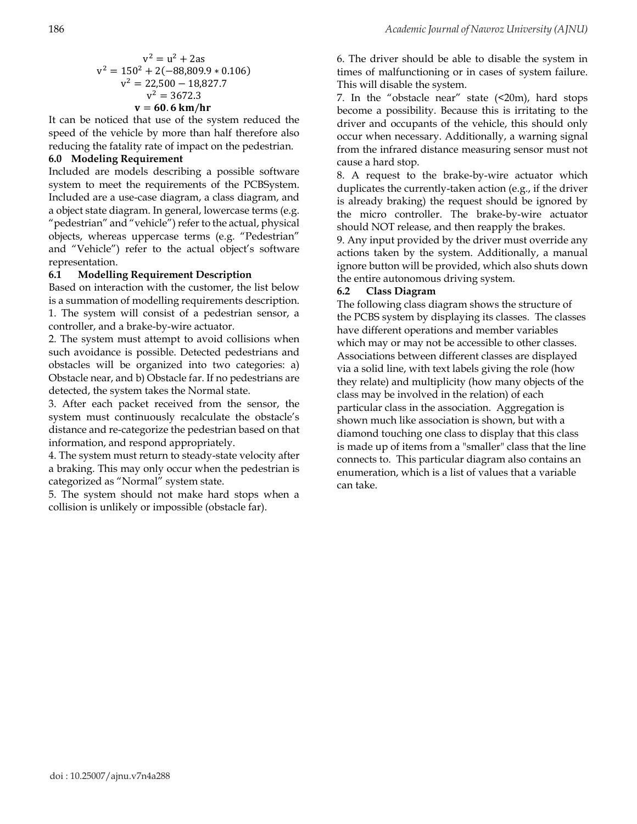$$
v2 = u2 + 2as
$$
  
\n
$$
v2 = 1502 + 2(-88,809.9 * 0.106)
$$
  
\n
$$
v2 = 22,500 - 18,827.7
$$
  
\n
$$
v2 = 3672.3
$$
  
\n
$$
v = 60.6 \text{ km/hr}
$$

It can be noticed that use of the system reduced the speed of the vehicle by more than half therefore also reducing the fatality rate of impact on the pedestrian.

## **6.0 Modeling Requirement**

Included are models describing a possible software system to meet the requirements of the PCBSystem. Included are a use-case diagram, a class diagram, and a object state diagram. In general, lowercase terms (e.g. "pedestrian" and "vehicle") refer to the actual, physical objects, whereas uppercase terms (e.g. "Pedestrian" and "Vehicle") refer to the actual object's software representation.

## **6.1 Modelling Requirement Description**

Based on interaction with the customer, the list below is a summation of modelling requirements description. 1. The system will consist of a pedestrian sensor, a controller, and a brake-by-wire actuator.

2. The system must attempt to avoid collisions when such avoidance is possible. Detected pedestrians and obstacles will be organized into two categories: a) Obstacle near, and b) Obstacle far. If no pedestrians are detected, the system takes the Normal state.

3. After each packet received from the sensor, the system must continuously recalculate the obstacle's distance and re-categorize the pedestrian based on that information, and respond appropriately.

4. The system must return to steady-state velocity after a braking. This may only occur when the pedestrian is categorized as "Normal" system state.

5. The system should not make hard stops when a collision is unlikely or impossible (obstacle far).

6. The driver should be able to disable the system in times of malfunctioning or in cases of system failure. This will disable the system.

7. In the "obstacle near" state  $($  <math>20m</math>), hard stops become a possibility. Because this is irritating to the driver and occupants of the vehicle, this should only occur when necessary. Additionally, a warning signal from the infrared distance measuring sensor must not cause a hard stop.

8. A request to the brake-by-wire actuator which duplicates the currently-taken action (e.g., if the driver is already braking) the request should be ignored by the micro controller. The brake-by-wire actuator should NOT release, and then reapply the brakes.

9. Any input provided by the driver must override any actions taken by the system. Additionally, a manual ignore button will be provided, which also shuts down the entire autonomous driving system.

## **6.2 Class Diagram**

The following class diagram shows the structure of the PCBS system by displaying its classes. The classes have different operations and member variables which may or may not be accessible to other classes. Associations between different classes are displayed via a solid line, with text labels giving the role (how they relate) and multiplicity (how many objects of the class may be involved in the relation) of each particular class in the association. Aggregation is shown much like association is shown, but with a diamond touching one class to display that this class is made up of items from a "smaller" class that the line connects to. This particular diagram also contains an enumeration, which is a list of values that a variable can take.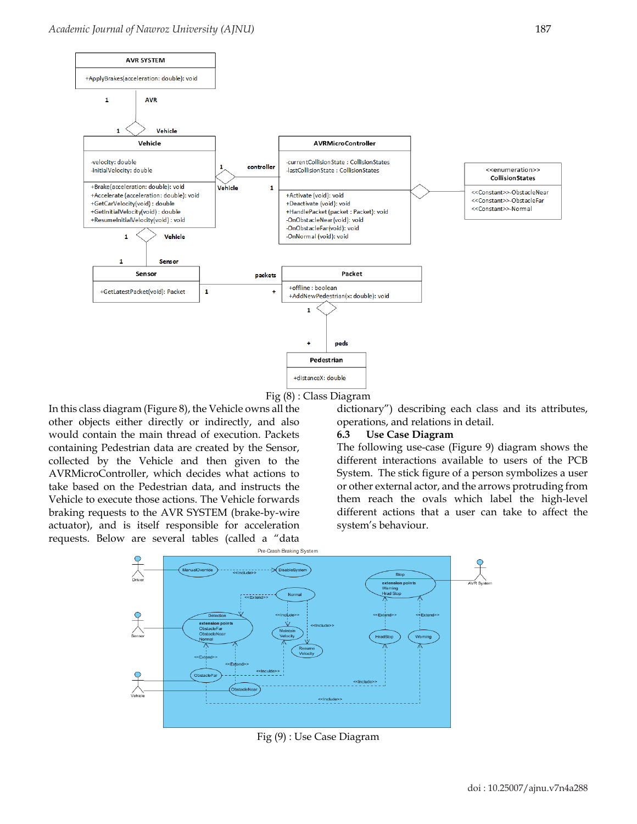



In this class diagram (Figure 8), the Vehicle owns all the other objects either directly or indirectly, and also would contain the main thread of execution. Packets containing Pedestrian data are created by the Sensor, collected by the Vehicle and then given to the AVRMicroController, which decides what actions to take based on the Pedestrian data, and instructs the Vehicle to execute those actions. The Vehicle forwards braking requests to the AVR SYSTEM (brake-by-wire actuator), and is itself responsible for acceleration requests. Below are several tables (called a "data

dictionary") describing each class and its attributes, operations, and relations in detail.

#### **6.3 Use Case Diagram**

The following use-case (Figure 9) diagram shows the different interactions available to users of the PCB System. The stick figure of a person symbolizes a user or other external actor, and the arrows protruding from them reach the ovals which label the high-level different actions that a user can take to affect the system's behaviour.



Fig (9) : Use Case Diagram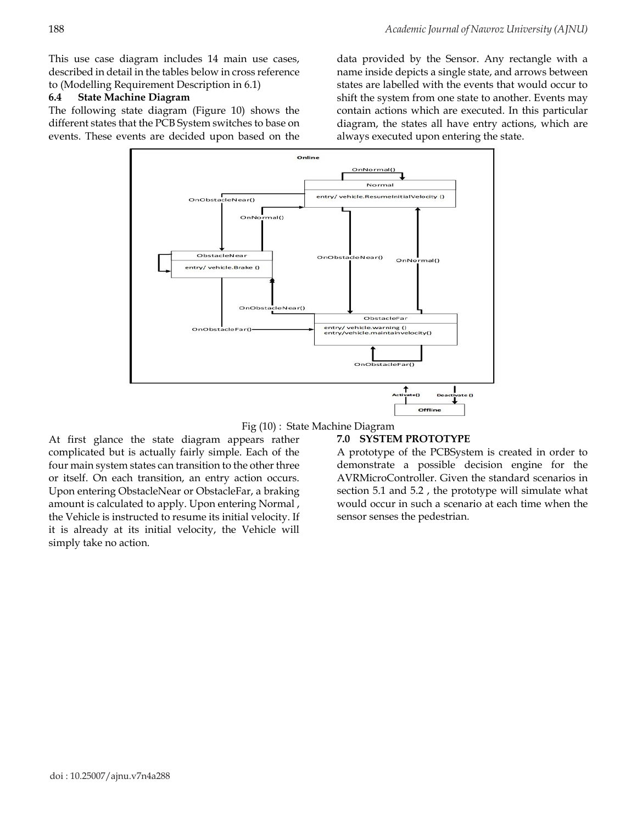This use case diagram includes 14 main use cases, described in detail in the tables below in cross reference to (Modelling Requirement Description in 6.1)

#### **6.4 State Machine Diagram**

The following state diagram (Figure 10) shows the different states that the PCB System switches to base on events. These events are decided upon based on the

data provided by the Sensor. Any rectangle with a name inside depicts a single state, and arrows between states are labelled with the events that would occur to shift the system from one state to another. Events may contain actions which are executed. In this particular diagram, the states all have entry actions, which are always executed upon entering the state.



Fig (10) : State Machine Diagram

At first glance the state diagram appears rather complicated but is actually fairly simple. Each of the four main system states can transition to the other three or itself. On each transition, an entry action occurs. Upon entering ObstacleNear or ObstacleFar, a braking amount is calculated to apply. Upon entering Normal , the Vehicle is instructed to resume its initial velocity. If it is already at its initial velocity, the Vehicle will simply take no action.

## **7.0 SYSTEM PROTOTYPE**

A prototype of the PCBSystem is created in order to demonstrate a possible decision engine for the AVRMicroController. Given the standard scenarios in section 5.1 and 5.2 , the prototype will simulate what would occur in such a scenario at each time when the sensor senses the pedestrian.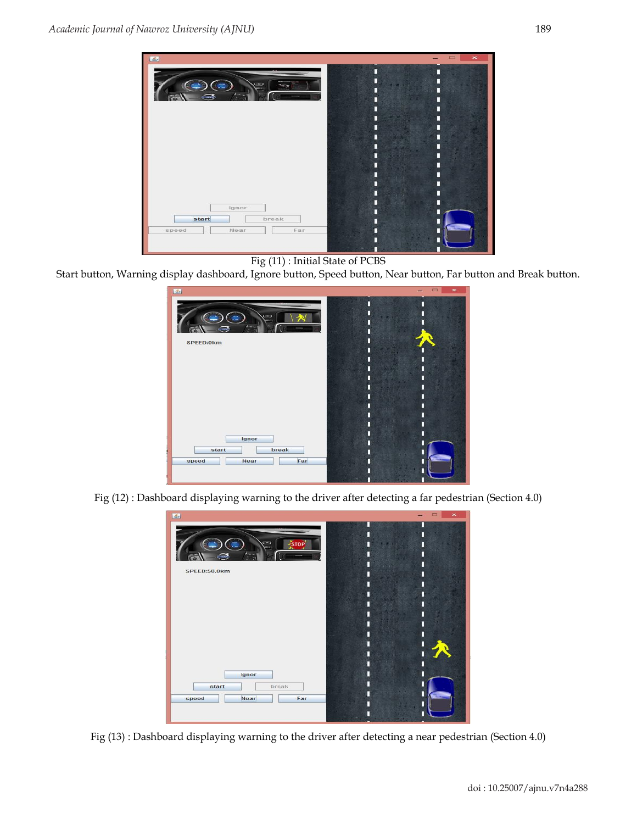

Fig (11) : Initial State of PCBS

Start button, Warning display dashboard, Ignore button, Speed button, Near button, Far button and Break button.



Fig (12) : Dashboard displaying warning to the driver after detecting a far pedestrian (Section 4.0)



Fig (13) : Dashboard displaying warning to the driver after detecting a near pedestrian (Section 4.0)